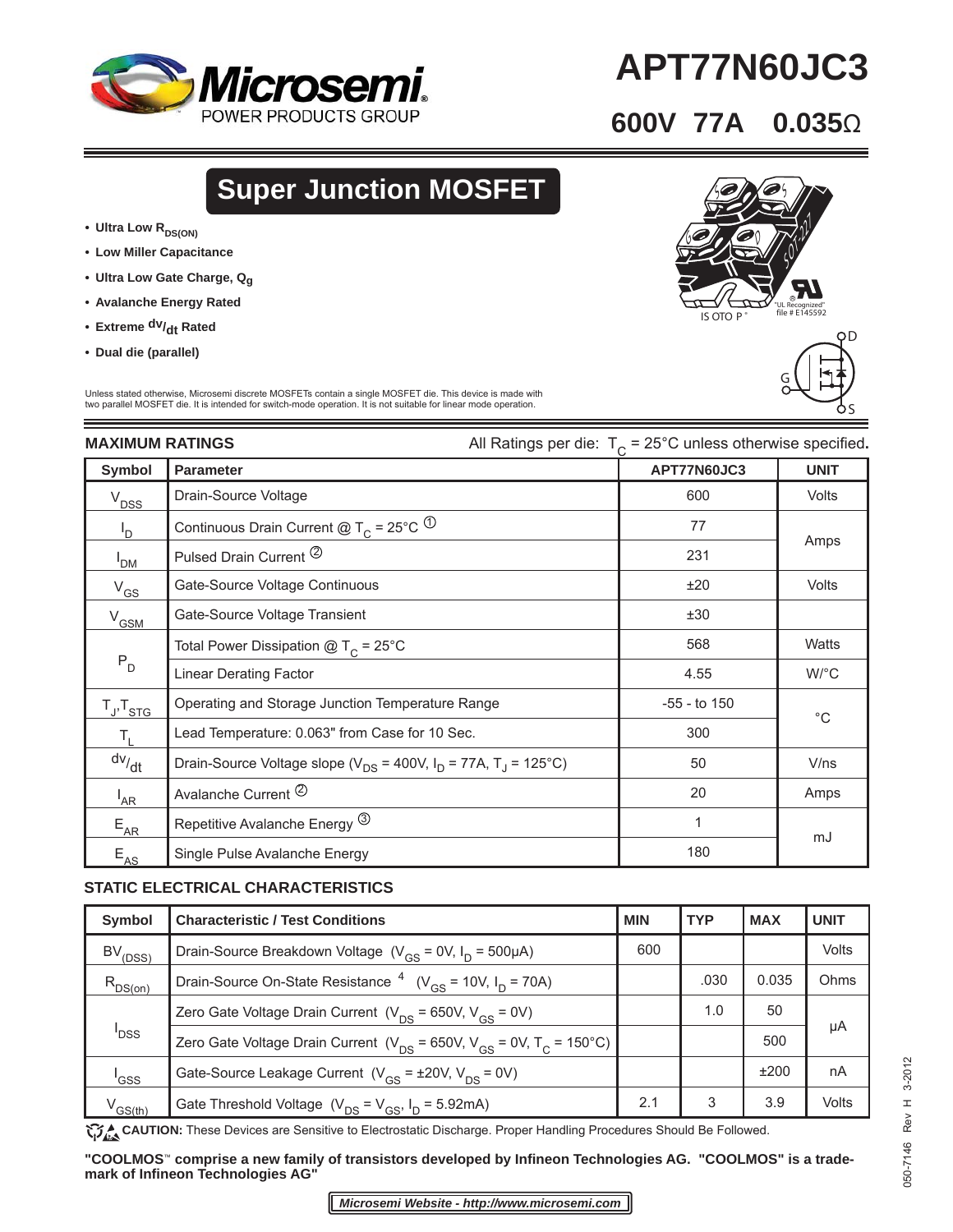

# **APT77N60JC3**

### **600V 77A 0.035**Ω

z

 $\underline{6}$ 

## **Super Junction MOSFET**

- Ultra Low R<sub>DS(ON)</sub>
- **Low Miller Capacitance**
- **Ultra Low Gate Charge, Qg**
- **Avalanche Energy Rated**
- Extreme <sup>dv</sup>/<sub>dt</sub> Rated
- **Dual die (parallel)**

ОD  $\overline{\preccurlyeq}_{\mathcal{N}}$ UL Recognized"<br>IS OTO P<sup>®</sup> file # E145592 D

S

G

S

Unless stated otherwise, Microsemi discrete MOSFETs contain a single MOSFET die. This device is made with two parallel MOSFET die. It is intended for switch-mode operation. It is not suitable for linear mode operation.

| <b>MAXIMUM RATINGS</b> |                                                                                    | All Ratings per die: $T_c = 25^{\circ}$ C unless otherwise specified. |                      |  |
|------------------------|------------------------------------------------------------------------------------|-----------------------------------------------------------------------|----------------------|--|
| Symbol                 | <b>Parameter</b>                                                                   | APT77N60JC3                                                           | <b>UNIT</b>          |  |
| $V_{DSS}$              | Drain-Source Voltage                                                               | 600                                                                   | Volts                |  |
| l <sub>D</sub>         | Continuous Drain Current @ T <sub>C</sub> = 25°C <sup>(1)</sup>                    | 77                                                                    | Amps                 |  |
| I <sub>DM</sub>        | Pulsed Drain Current <sup>2</sup>                                                  | 231                                                                   |                      |  |
| $V_{GS}$               | Gate-Source Voltage Continuous                                                     | ±20                                                                   | <b>Volts</b>         |  |
| $V_{GSM}$              | Gate-Source Voltage Transient                                                      | ±30                                                                   |                      |  |
| $P_D$                  | Total Power Dissipation $@T_c = 25°C$                                              | 568                                                                   | <b>Watts</b>         |  |
|                        | <b>Linear Derating Factor</b>                                                      | 4.55                                                                  | $W$ <sup>o</sup> $C$ |  |
| $T_{J}$ , $T_{STG}$    | Operating and Storage Junction Temperature Range                                   | $-55$ - to 150                                                        | $^{\circ}$ C         |  |
| $T_{\rm L}$            | Lead Temperature: 0.063" from Case for 10 Sec.                                     | 300                                                                   |                      |  |
| dv/dt                  | Drain-Source Voltage slope ( $V_{DS}$ = 400V, $I_D$ = 77A, T <sub>J</sub> = 125°C) | 50                                                                    | V/ns                 |  |
| $I_{AR}$               | Avalanche Current <sup>2</sup>                                                     | 20                                                                    | Amps                 |  |
| $E_{AR}$               | Repetitive Avalanche Energy <sup>(3)</sup>                                         | 1                                                                     |                      |  |
| $E_{AS}$               | Single Pulse Avalanche Energy                                                      | 180                                                                   | mJ                   |  |

#### **STATIC ELECTRICAL CHARACTERISTICS**

| Symbol             | <b>Characteristic / Test Conditions</b>                                                   | <b>MIN</b> | <b>TYP</b> | <b>MAX</b> | <b>UNIT</b> |
|--------------------|-------------------------------------------------------------------------------------------|------------|------------|------------|-------------|
| $BV_{(DSS)}$       | Drain-Source Breakdown Voltage ( $V_{GS}$ = 0V, $I_D$ = 500µA)                            | 600        |            |            | Volts       |
| $R_{DS(on)}$       | Drain-Source On-State Resistance $^{4}$ (V <sub>GS</sub> = 10V, I <sub>D</sub> = 70A)     |            | .030       | 0.035      | Ohms        |
|                    | Zero Gate Voltage Drain Current ( $V_{DS}$ = 650V, $V_{GS}$ = 0V)                         |            | 1.0        | 50         |             |
| <sup>I</sup> DSS   | Zero Gate Voltage Drain Current ( $V_{DS}$ = 650V, $V_{GS}$ = 0V, T <sub>c</sub> = 150°C) |            |            | 500        | μA          |
| <sup>I</sup> GSS   | Gate-Source Leakage Current $(V_{CS} = \pm 20V, V_{DS} = 0V)$                             |            |            | ±200       | nA          |
| $V^{\text{GS(h)}}$ | Gate Threshold Voltage $(V_{DS} = V_{GS}, I_D = 5.92 \text{mA})$                          | 2.1        | 3          | 3.9        | Volts       |

**CAUTION:** These Devices are Sensitive to Electrostatic Discharge. Proper Handling Procedures Should Be Followed.

"COOLMOS<sup>™</sup> comprise a new family of transistors developed by Infineon Technologies AG. "COOLMOS" is a trade**mark of Infi neon Technologies AG"**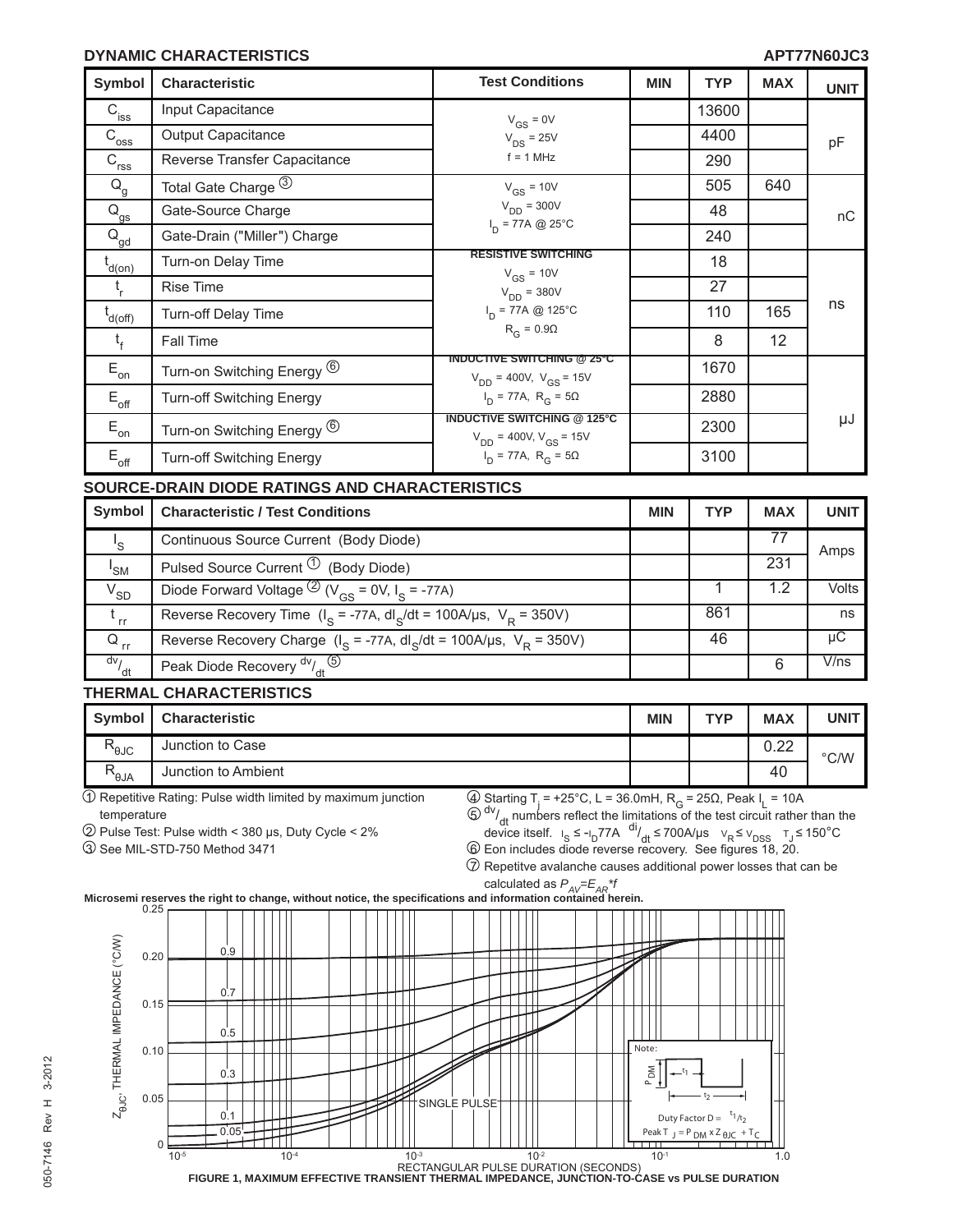#### **DYNAMIC CHARACTERISTICS APT77N60JC3**

| <b>Symbol</b>                        | <b>Characteristic</b>                                                                         | <b>Test Conditions</b>                                                | <b>MIN</b> | <b>TYP</b> | <b>MAX</b>      | <b>UNIT</b>        |
|--------------------------------------|-----------------------------------------------------------------------------------------------|-----------------------------------------------------------------------|------------|------------|-----------------|--------------------|
| $\mathbf{C}_{\text{iss}}$            | Input Capacitance                                                                             | $V_{GS} = 0V$                                                         |            | 13600      |                 |                    |
| $\mathsf{C}_{\mathsf{oss}}$          | Output Capacitance                                                                            | $V_{DS}$ = 25V                                                        |            | 4400       |                 | pF                 |
| $C_{rss}$                            | Reverse Transfer Capacitance                                                                  | $f = 1$ MHz                                                           |            | 290        |                 |                    |
| $\mathsf{Q}_{\mathsf{g}}$            | Total Gate Charge 3                                                                           | $V_{GS}$ = 10V                                                        |            | 505        | 640             |                    |
| $Q_{gs}$                             | Gate-Source Charge                                                                            | $V_{DD}$ = 300V                                                       |            | 48         |                 | nC                 |
| $Q_{gd}$                             | Gate-Drain ("Miller") Charge                                                                  | $I_{D}$ = 77A @ 25°C                                                  |            | 240        |                 |                    |
| $t_{d(0n)}$                          | Turn-on Delay Time                                                                            | <b>RESISTIVE SWITCHING</b>                                            |            | 18         |                 |                    |
| $t_{r}$                              | Rise Time                                                                                     | $V_{GS}$ = 10V<br>$V_{DD} = 380V$                                     |            | 27         |                 |                    |
| $t_{d(off)}$                         | Turn-off Delay Time                                                                           | $I_n = 77A \text{ @ } 125^{\circ}C$                                   |            | 110        | 165             | ns                 |
| $t_{f}$                              | Fall Time                                                                                     | $R_G = 0.9\Omega$                                                     |            | 8          | 12              |                    |
| $\mathsf{E}_{\mathsf{on}}$           | Turn-on Switching Energy <sup>(6)</sup>                                                       | <b>INDUCTIVE SWITCHING @ 25°C</b><br>$V_{DD}$ = 400V, $V_{GS}$ = 15V  |            | 1670       |                 |                    |
| $E_{\text{off}}$                     | <b>Turn-off Switching Energy</b>                                                              | $I_D$ = 77A, $R_G$ = 5 $\Omega$                                       |            | 2880       |                 |                    |
| $\mathsf{E}_{\mathsf{on}}$           | Turn-on Switching Energy <sup>6</sup>                                                         | <b>INDUCTIVE SWITCHING @ 125°C</b><br>$V_{DD}$ = 400V, $V_{GS}$ = 15V |            | 2300       |                 | μJ                 |
| $\mathsf{E}_{\mathsf{off}}$          | <b>Turn-off Switching Energy</b>                                                              | $I_D$ = 77A, R <sub>G</sub> = 5 $\Omega$                              |            | 3100       |                 |                    |
|                                      | SOURCE-DRAIN DIODE RATINGS AND CHARACTERISTICS                                                |                                                                       |            |            |                 |                    |
| <b>Symbol</b>                        | <b>Characteristic / Test Conditions</b>                                                       |                                                                       | <b>MIN</b> | <b>TYP</b> | <b>MAX</b>      | <b>UNIT</b>        |
| $I_{\rm S}$                          | Continuous Source Current (Body Diode)                                                        |                                                                       |            |            | $\overline{77}$ | Amps               |
| I <sub>SM</sub>                      | Pulsed Source Current <sup>1</sup> (Body Diode)                                               |                                                                       |            |            | 231             |                    |
| $V_{SD}$                             | Diode Forward Voltage $\frac{2}{v_{\rm GS}} = 0$ V, I <sub>S</sub> = -77A)                    |                                                                       |            | 1          | 1.2             | Volts              |
| $t_{rr}$                             | Reverse Recovery Time $(I_S = -77A, dl_S/dt = 100A/\mu s, V_R = 350V)$                        |                                                                       |            | 861        |                 | ns                 |
| $\overline{\textsf{Q}}_{\text{ rr}}$ | Reverse Recovery Charge ( $I_s$ = -77A, dl <sub>S</sub> /dt = 100A/µs, V <sub>R</sub> = 350V) |                                                                       |            | 46         |                 | $\overline{\mu C}$ |
| $\frac{dv}{dt}$                      | Peak Diode Recovery <sup>dv</sup> / <sub>dt</sub> 5                                           |                                                                       |            |            | $6\phantom{1}$  | V/ns               |

#### **THERMAL CHARACTERISTICS**

| Symbol                 | <b>Characteristic</b> | <b>MIN</b> | <b>TVD</b> | <b>MAX</b>   | UNIT          |
|------------------------|-----------------------|------------|------------|--------------|---------------|
| $R_{\theta \text{JC}}$ | Junction to Case      |            |            | 0.22<br>◡.∠∠ | $\degree$ C/W |
| R<br>``θJA             | Junction to Ambient   |            |            | 40           |               |

 $10$  Repetitive Rating: Pulse width limited by maximum junction temperature

2 Pulse Test: Pulse width < 380 μs, Duty Cycle < 2%

3 See MIL-STD-750 Method 3471

4) Starting T<sub>j</sub> = +25°C, L = 36.0mH, R<sub>G</sub> = 25Ω, Peak I<sub>L</sub> = 10A<br><sup>5) dv</sup>/<sub>dt</sub> numbers reflect the limitations of the test circuit rather than the device itself.  $I_S \le -I_D 77A$  di<sub>dd</sub>  $\le$  700A/μs  $V_R \le V_{DSS}$   $T_J \le 150^{\circ}$ C<br>
6 Eon includes diode reverse recovery. See figures 18, 20.

 $\widehat{\mathcal{D}}$  Repetitve avalanche causes additional power losses that can be



calculated as *PAV=EAR\*f* **Microsemi reserves the right to change, without notice, the specifi cations and information contained herein.**



SINGLE PULSE 10-5 10-4 10-3 10-2 10-1 1.0 RECTANGULAR PULSE DURATION (SECONDS) **FIGURE 1, MAXIMUM EFFECTIVE TRANSIENT THERMAL IMPEDANCE, JUNCTION-TO-CASE vs PULSE DURATION** 0.10 0.05 0  $0.5$  $0.1$  $0.3$  $\frac{0.05}{\sqrt{1-\frac{1}{2}}}\left[\frac{1}{2}\right]$   $\left[\frac{1}{2}\right]$   $\left[\frac{1}{2}\right]$   $\left[\frac{1}{2}\right]$   $\left[\frac{1}{2}\right]$   $\left[\frac{1}{2}\right]$   $\left[\frac{1}{2}\right]$   $\left[\frac{1}{2}\right]$   $\left[\frac{1}{2}\right]$   $\left[\frac{1}{2}\right]$   $\left[\frac{1}{2}\right]$   $\left[\frac{1}{2}\right]$   $\left[\frac{1}{2}\right]$   $\left[\frac{1}{2}\right]$ Duty Factor  $D =$  $1/t_2$ t 2 t 1 P<sub>DM</sub> Note: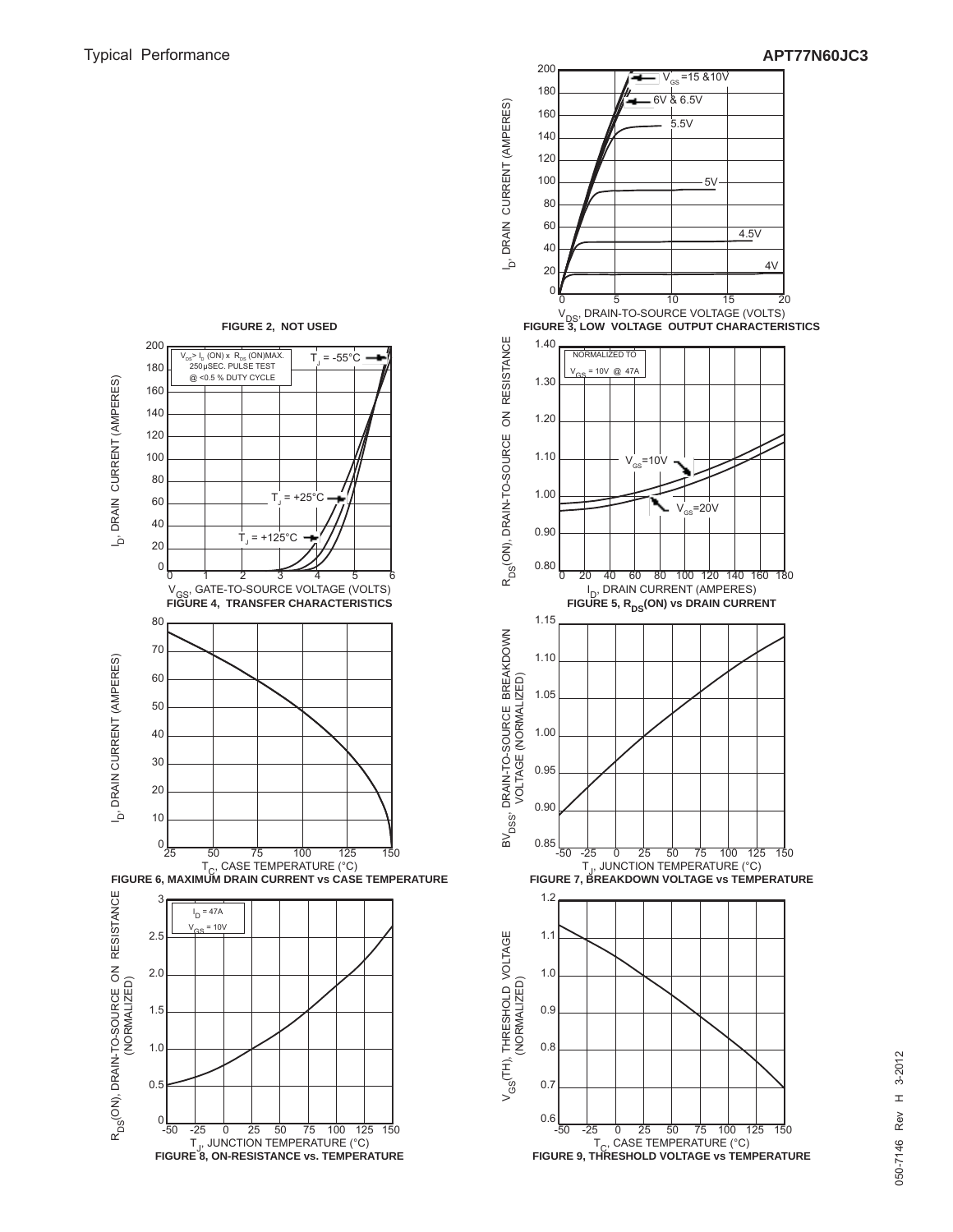



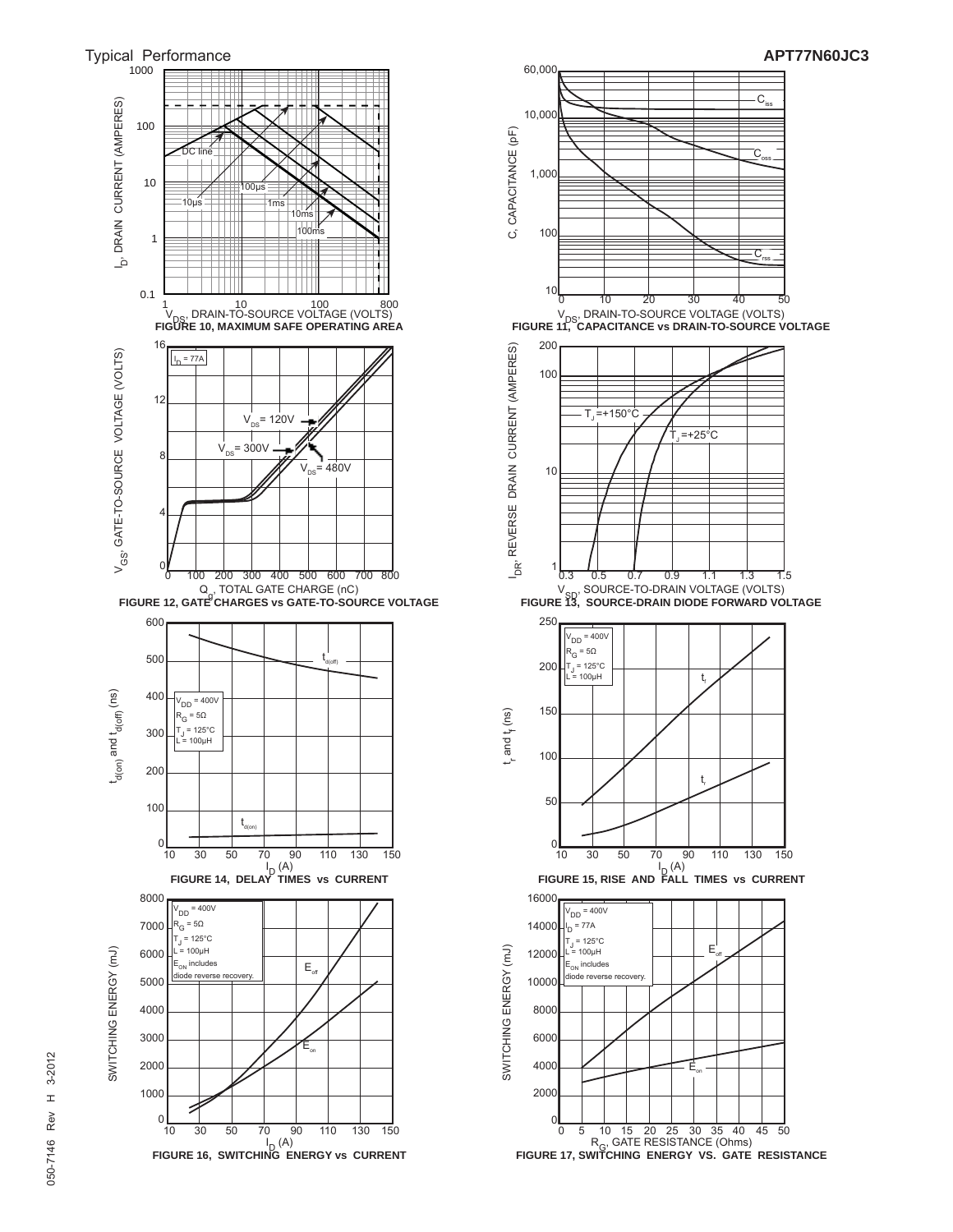